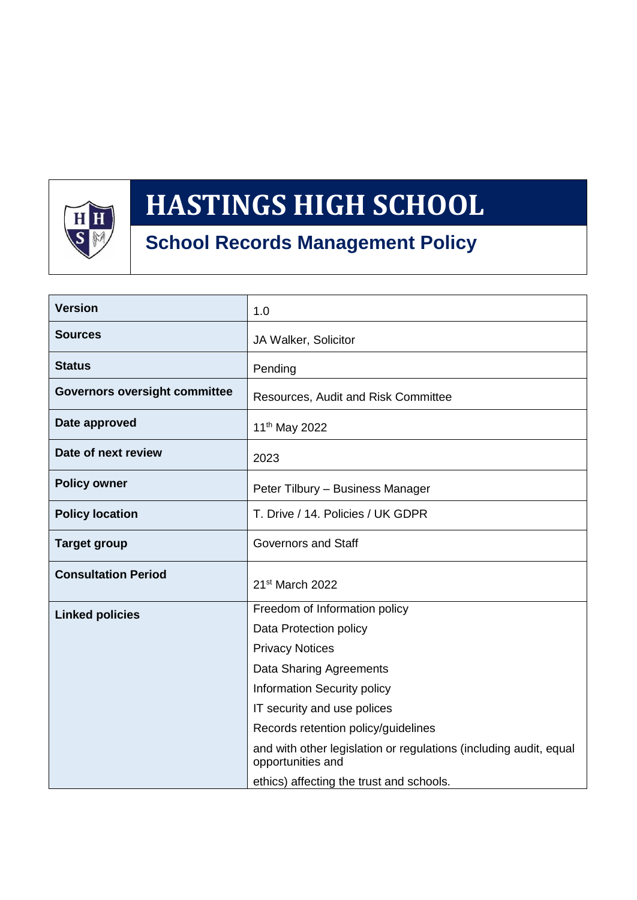

# **HASTINGS HIGH SCHOOL**

# **School Records Management Policy**

| <b>Version</b>                       | 1.0                                                                                          |  |  |
|--------------------------------------|----------------------------------------------------------------------------------------------|--|--|
| <b>Sources</b>                       | JA Walker, Solicitor                                                                         |  |  |
| <b>Status</b>                        | Pending                                                                                      |  |  |
| <b>Governors oversight committee</b> | Resources, Audit and Risk Committee                                                          |  |  |
| Date approved                        | 11 <sup>th</sup> May 2022                                                                    |  |  |
| Date of next review                  | 2023                                                                                         |  |  |
| <b>Policy owner</b>                  | Peter Tilbury - Business Manager                                                             |  |  |
| <b>Policy location</b>               | T. Drive / 14. Policies / UK GDPR                                                            |  |  |
| <b>Target group</b>                  | <b>Governors and Staff</b>                                                                   |  |  |
| <b>Consultation Period</b>           | 21 <sup>st</sup> March 2022                                                                  |  |  |
| <b>Linked policies</b>               | Freedom of Information policy                                                                |  |  |
|                                      | Data Protection policy                                                                       |  |  |
|                                      | <b>Privacy Notices</b>                                                                       |  |  |
|                                      | Data Sharing Agreements<br><b>Information Security policy</b><br>IT security and use polices |  |  |
|                                      |                                                                                              |  |  |
|                                      |                                                                                              |  |  |
|                                      | Records retention policy/guidelines                                                          |  |  |
|                                      | and with other legislation or regulations (including audit, equal<br>opportunities and       |  |  |
|                                      | ethics) affecting the trust and schools.                                                     |  |  |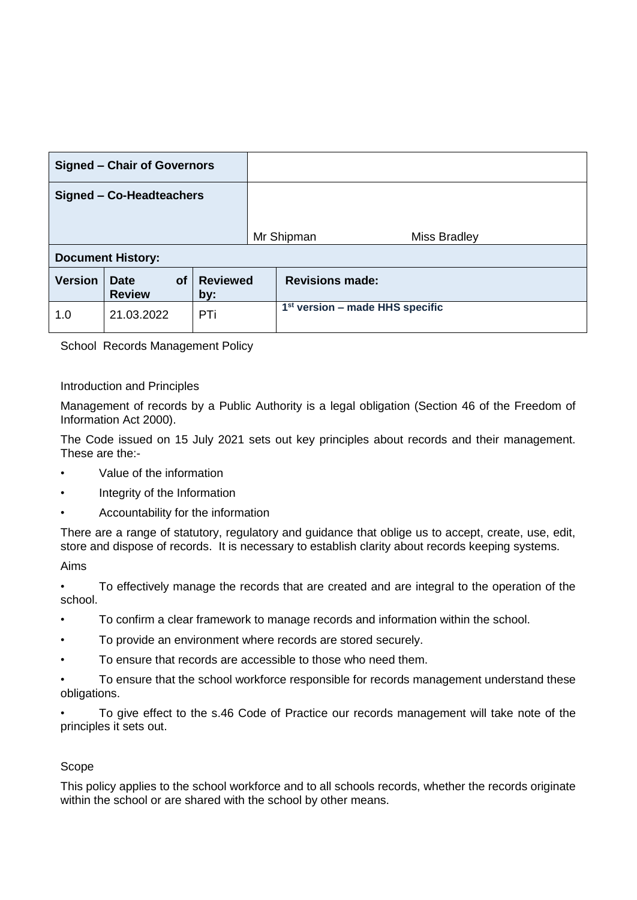| <b>Signed - Chair of Governors</b> |                              |           |                        |            |                                   |  |  |
|------------------------------------|------------------------------|-----------|------------------------|------------|-----------------------------------|--|--|
| Signed - Co-Headteachers           |                              |           |                        |            |                                   |  |  |
|                                    |                              |           |                        | Mr Shipman | Miss Bradley                      |  |  |
| <b>Document History:</b>           |                              |           |                        |            |                                   |  |  |
| <b>Version</b>                     | <b>Date</b><br><b>Review</b> | <b>of</b> | <b>Reviewed</b><br>by: |            | <b>Revisions made:</b>            |  |  |
| 1.0                                | 21.03.2022                   |           | <b>PTi</b>             |            | $1st$ version – made HHS specific |  |  |

School Records Management Policy

# Introduction and Principles

Management of records by a Public Authority is a legal obligation (Section 46 of the Freedom of Information Act 2000).

The Code issued on 15 July 2021 sets out key principles about records and their management. These are the:-

- Value of the information
- Integrity of the Information
- Accountability for the information

There are a range of statutory, regulatory and guidance that oblige us to accept, create, use, edit, store and dispose of records. It is necessary to establish clarity about records keeping systems.

Aims

• To effectively manage the records that are created and are integral to the operation of the school.

- To confirm a clear framework to manage records and information within the school.
- To provide an environment where records are stored securely.
- To ensure that records are accessible to those who need them.
- To ensure that the school workforce responsible for records management understand these obligations.

• To give effect to the s.46 Code of Practice our records management will take note of the principles it sets out.

# Scope

This policy applies to the school workforce and to all schools records, whether the records originate within the school or are shared with the school by other means.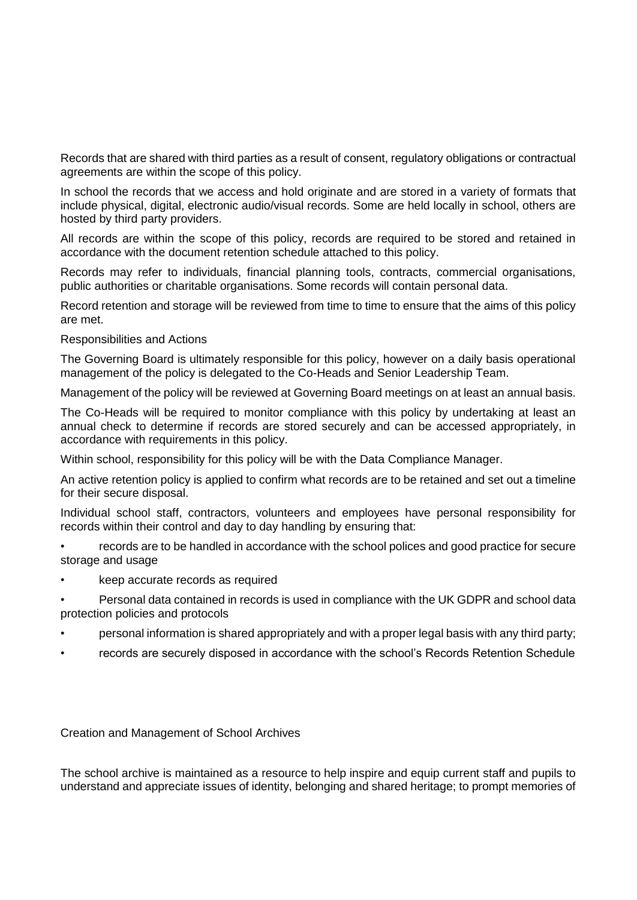Records that are shared with third parties as a result of consent, regulatory obligations or contractual agreements are within the scope of this policy.

In school the records that we access and hold originate and are stored in a variety of formats that include physical, digital, electronic audio/visual records. Some are held locally in school, others are hosted by third party providers.

All records are within the scope of this policy, records are required to be stored and retained in accordance with the document retention schedule attached to this policy.

Records may refer to individuals, financial planning tools, contracts, commercial organisations, public authorities or charitable organisations. Some records will contain personal data.

Record retention and storage will be reviewed from time to time to ensure that the aims of this policy are met.

Responsibilities and Actions

The Governing Board is ultimately responsible for this policy, however on a daily basis operational management of the policy is delegated to the Co-Heads and Senior Leadership Team.

Management of the policy will be reviewed at Governing Board meetings on at least an annual basis.

The Co-Heads will be required to monitor compliance with this policy by undertaking at least an annual check to determine if records are stored securely and can be accessed appropriately, in accordance with requirements in this policy.

Within school, responsibility for this policy will be with the Data Compliance Manager.

An active retention policy is applied to confirm what records are to be retained and set out a timeline for their secure disposal.

Individual school staff, contractors, volunteers and employees have personal responsibility for records within their control and day to day handling by ensuring that:

• records are to be handled in accordance with the school polices and good practice for secure storage and usage

• keep accurate records as required

• Personal data contained in records is used in compliance with the UK GDPR and school data protection policies and protocols

- personal information is shared appropriately and with a proper legal basis with any third party;
- records are securely disposed in accordance with the school's Records Retention Schedule

Creation and Management of School Archives

The school archive is maintained as a resource to help inspire and equip current staff and pupils to understand and appreciate issues of identity, belonging and shared heritage; to prompt memories of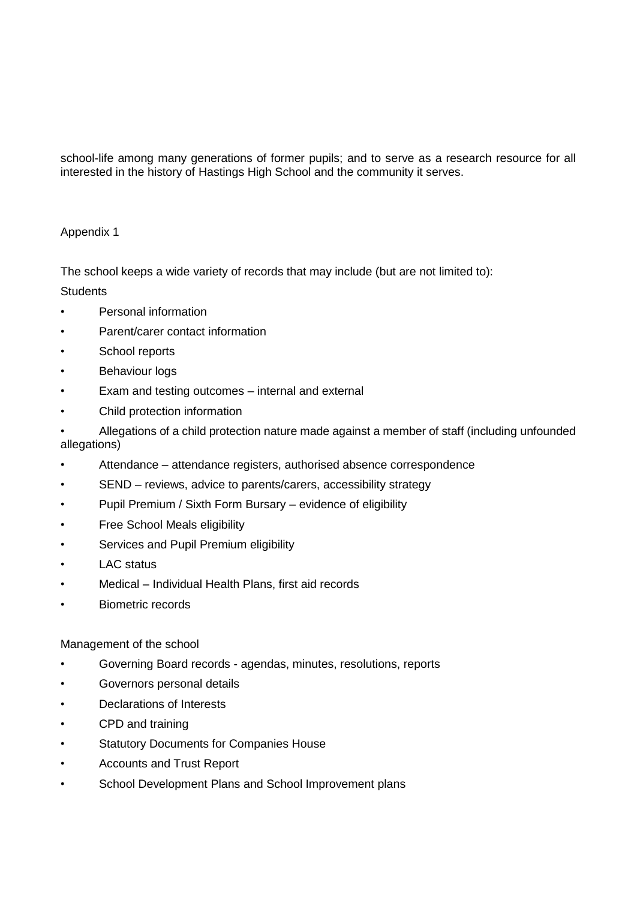school-life among many generations of former pupils; and to serve as a research resource for all interested in the history of Hastings High School and the community it serves.

# Appendix 1

The school keeps a wide variety of records that may include (but are not limited to):

**Students** 

- Personal information
- Parent/carer contact information
- School reports
- **Behaviour logs**
- Exam and testing outcomes internal and external
- Child protection information
- Allegations of a child protection nature made against a member of staff (including unfounded allegations)
- Attendance attendance registers, authorised absence correspondence
- SEND reviews, advice to parents/carers, accessibility strategy
- Pupil Premium / Sixth Form Bursary evidence of eligibility
- Free School Meals eligibility
- Services and Pupil Premium eligibility
- LAC status
- Medical Individual Health Plans, first aid records
- Biometric records

# Management of the school

- Governing Board records agendas, minutes, resolutions, reports
- Governors personal details
- Declarations of Interests
- CPD and training
- Statutory Documents for Companies House
- Accounts and Trust Report
- School Development Plans and School Improvement plans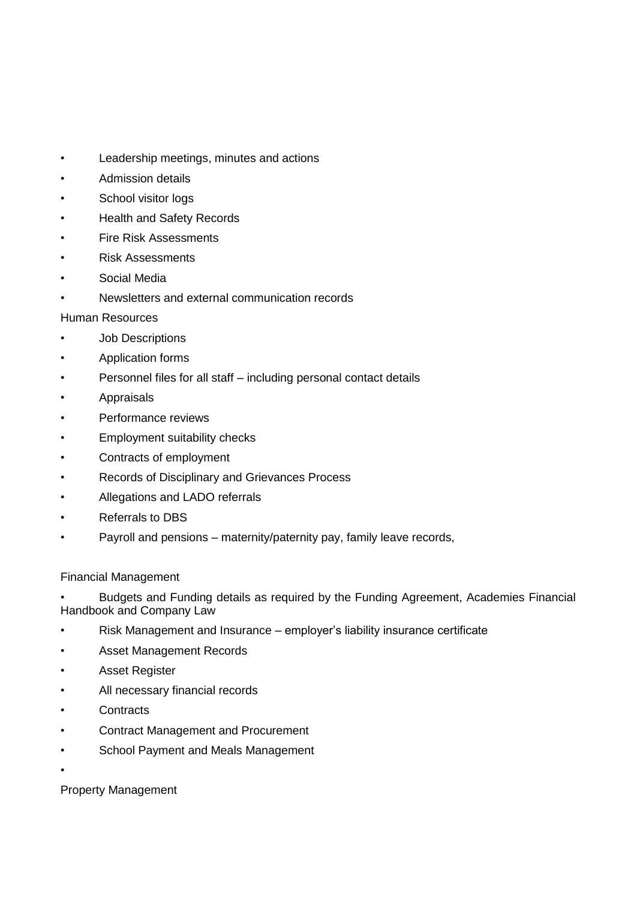- Leadership meetings, minutes and actions
- Admission details
- School visitor logs
- Health and Safety Records
- Fire Risk Assessments
- Risk Assessments
- Social Media
- Newsletters and external communication records

#### Human Resources

- Job Descriptions
- Application forms
- Personnel files for all staff including personal contact details
- Appraisals
- Performance reviews
- Employment suitability checks
- Contracts of employment
- Records of Disciplinary and Grievances Process
- Allegations and LADO referrals
- Referrals to DBS
- Payroll and pensions maternity/paternity pay, family leave records,

# Financial Management

• Budgets and Funding details as required by the Funding Agreement, Academies Financial Handbook and Company Law

- Risk Management and Insurance employer's liability insurance certificate
- Asset Management Records
- Asset Register
- All necessary financial records
- **Contracts**
- Contract Management and Procurement
- School Payment and Meals Management
- •

Property Management